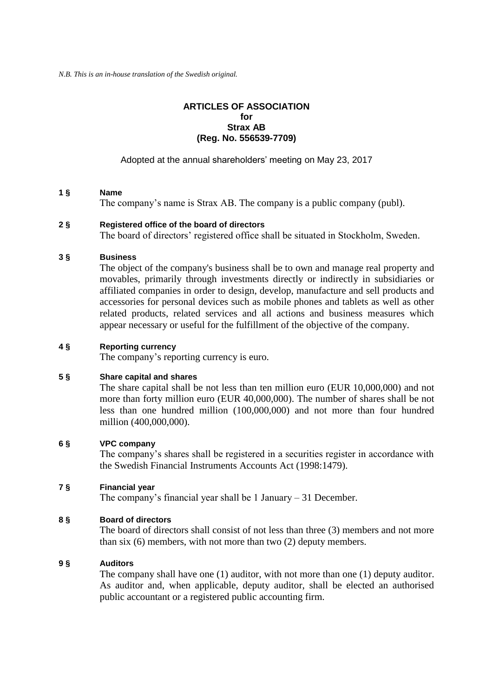*N.B. This is an in-house translation of the Swedish original.*

## **ARTICLES OF ASSOCIATION for Strax AB (Reg. No. 556539-7709)**

Adopted at the annual shareholders' meeting on May 23, 2017

# **1 § Name**

The company's name is Strax AB. The company is a public company (publ).

## **2 § Registered office of the board of directors**

The board of directors' registered office shall be situated in Stockholm, Sweden.

## **3 § Business**

The object of the company's business shall be to own and manage real property and movables, primarily through investments directly or indirectly in subsidiaries or affiliated companies in order to design, develop, manufacture and sell products and accessories for personal devices such as mobile phones and tablets as well as other related products, related services and all actions and business measures which appear necessary or useful for the fulfillment of the objective of the company.

## **4 § Reporting currency**

The company's reporting currency is euro.

#### **5 § Share capital and shares**

The share capital shall be not less than ten million euro (EUR 10,000,000) and not more than forty million euro (EUR 40,000,000). The number of shares shall be not less than one hundred million (100,000,000) and not more than four hundred million (400,000,000).

# **6 § VPC company**

The company's shares shall be registered in a securities register in accordance with the Swedish Financial Instruments Accounts Act (1998:1479).

# **7 § Financial year**

The company's financial year shall be 1 January – 31 December.

# **8 § Board of directors**

The board of directors shall consist of not less than three (3) members and not more than six (6) members, with not more than two (2) deputy members.

#### **9 § Auditors**

The company shall have one (1) auditor, with not more than one (1) deputy auditor. As auditor and, when applicable, deputy auditor, shall be elected an authorised public accountant or a registered public accounting firm.